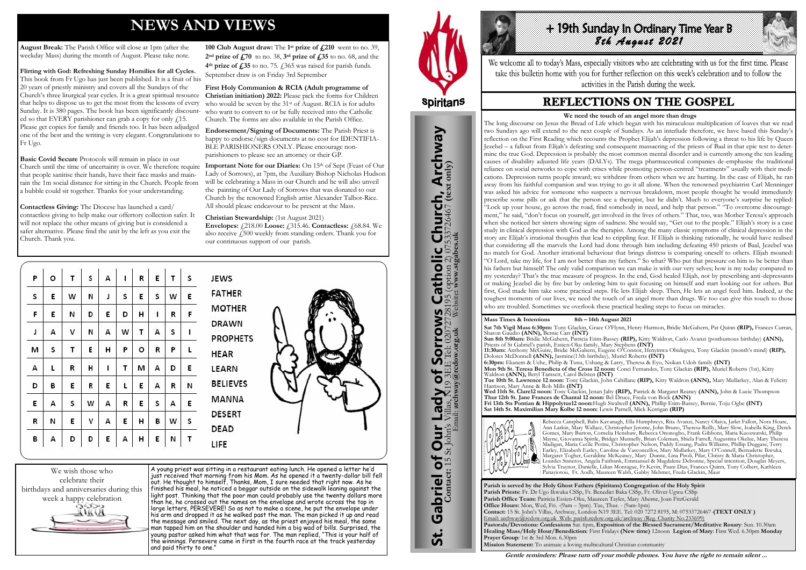# **NEWS AND VIEWS**

**August Break:** The Parish Office will close at 1pm (after the weekday Mass) during the month of August. Please take note.

**Flirting with God: Refreshing Sunday Homilies for all Cycles.**  This book from Fr Ugo has just been published. It is a fruit of his 20 years of priestly ministry and covers all the Sundays of the Church's three liturgical year cycles. It is a great spiritual resource that helps to dispose us to get the most from the lessons of every Sunday. It is 380 pages. The book has been significantly discounted so that EVERY parishioner can grab a copy for only  $f$ 15. Please get copies for family and friends too. It has been adjudged one of the best and the writing is very elegant. Congratulations to Fr Ugo.

**Basic Covid Secure** Protocols will remain in place in our Church until the time of uncertainty is over. We therefore require that people sanitise their hands, have their face masks and maintain the 1m social distance for sitting in the Church. People from a bubble could sit together. Thanks for your understanding.

**Contactless Giving:** The Diocese has launched a card/ contactless giving to help make our offertory collection safer. It will not replace the other means of giving but is considered a safer alternative. Please find the unit by the left as you exit the Church. Thank you.

Important Note for our Diaries: On 15th of Sept (Feast of Our Lady of Sorrows), at 7pm, the Auxiliary Bishop Nicholas Hudson will be celebrating a Mass in our Church and he will also unveil the painting of Our Lady of Sorrows that was donated to our Church by the renowned English artist Alexander Talbot-Rice. All should please endeavour to be present at the Mass.

**100 Club August draw:** The **1 st prize of £210** went to no. 39, **2nd prize of £70** to no. 38, **3rd prize of £35** to no. 68, and the **4th prize of £35** to no. 75. £365 was raised for parish funds. September draw is on Friday 3rd September

**First Holy Communion & RCIA (Adult programme of Christian initiation) 2022:** Please pick the forms for Children who would be seven by the 31<sup>st</sup> of August. RCIA is for adults who want to convert to or be fully received into the Catholic Church. The forms are also available in the Parish Office.

# **High sunday in Ordinary Time Year B** *8th August 2021*

We welcome all to today's Mass, especially visitors who are celebrating with us for the first time. Please take this bulletin home with you for further reflection on this week's celebration and to follow the activities in the Parish during the week.

# **REFLECTIONS ON THE GOSPEL**

**Endorsement/Signing of Documents:** The Parish Priest is happy to endorse/sign documents at no cost for IDENTIFIA-BLE PARISHIONERS ONLY. Please encourage nonparishioners to please see an attorney or their GP.

**Christian Stewardship:** (1st August 2021) **Envelopes:**  $\angle 218.00$  **Loose:**  $\angle 315.46$ . **Contactless:**  $\angle 68.84$ . We also receive £500 weekly from standing orders. Thank you for our continuous support of our parish.

| P | о | т | S | А | ı | R       | E | т | S | JEWS                            |
|---|---|---|---|---|---|---------|---|---|---|---------------------------------|
| s | Ε | W | И |   | s | E       | s | w | E | <b>FATHER</b>                   |
| F | Ε | И | D | E | D | н       |   | R | F | <b>MOTHER</b>                   |
| J | А | v | И | А | W | т       | А | S |   | <b>DRAWN</b><br><b>PROPHETS</b> |
| м | s | т | E | н | P | $\circ$ | R | P |   | <b>HEAR</b>                     |
| А | L | R | н |   | т | м       | А | D | Ε | LEARN                           |
| D | в | Ε | R | E | L | E       | А | R | И | <b>BELIEVES</b>                 |
| Ε | А | s | w | А | R | E       | s | А | Ε | <b>MANNA</b>                    |
| R | И | E | v | А | E | н       | в | w | s | <b>DESERT</b><br><b>DEAD</b>    |
| в | А | D | D | E | А | н       | Ε | Ν | Т | LIFE                            |



A young priest was sitting in a restaurant eating lunch. He opened a letter he'd just received that morning from his Mom. As he opened it a twenty-dollar bill fell out. He thought to himself, Thanks, Mom, I sure needed that right now. As he finished his meal, he noticed a beggar outside on the sidewalk leaning against the light post. Thinking that the poor man could probably use the twenty dollars more than he, he crossed out the names on the envelope and wrote across the top in large letters, PERSEVERE! So as not to make a scene, he put the envelope under his arm and dropped it as he walked past the man. The man picked it up and read the message and smiled. The next day, as the priest enjoyed his meal, the same man tapped him on the shoulder and handed him a big wad of bills. Surprised, the young pastor asked him what that was for. The man replied, "This is your half of the winnings. Persevere came in first in the fourth race at the track yesterday and paid thirty to one."



St. Gabriel of Our Lady of Sorrows Catholic Church, Archway

Our Lady of Sorrows

Gabriel of Our

<u>ჭ</u>

**IS Catholic Church, Archway**<br>28195 (option 2) 07533726467 (text only)

**Parish is served by the Holy Ghost Fathers (Spiritans) Congregation of the Holy Spirit Parish Priests:** Fr. Dr Ugo Ikwuka CSSp, Fr. Benedict Baka CSSp, Fr. Oliver Ugwu CSSp **Parish Office Team:** Patricia Essien-Oku, Maureen Tayler, Mary Aherne, Joan FitzGerald **Office Hours:** Mon, Wed, Fri. -(9am – 3pm). Tue, Thur. - (9am-1pm) **Contact:** 15 St. John's Villas, Archway, London N19 3EE. Tel: 020 7272 8195, M: 07533726467-**(TEXT ONLY )** Email: archway@rcdow.org.uk Web: parish.rcdow.org.uk/archway (Reg. Charity No.233699) **Pastorals/Devotions: Confessions** Sat. 6pm, **Exposition of the Blessed Sacrament/Meditative Rosary**: Sun. 10.30am **Healing Mass/Holy Hour/Benediction:** First Fridays **(New time)** 12noon **Legion of Mary**: First Wed. 6.30pm **Monday Prayer Group**: 1st & 3rd Mon. 6.30pm **Mission Statement:** To animate a loving multicultural Christian community

**Contact:** 15 St John's Villas, N19 3EE Tel: 02072728195 (option 2) 07533726467 **(text only)** Email: **archway@rcdow.org.uk** Website**: www.stgabes.uk**

**Mass Times & Intentions 8th – 14th August 2021 Sat 7th Vigil Mass 6:30pm:** Tony Glackin, Grace O'Flynn, Henry Harmon, Bridie McGahern, Pat Quinn **(RIP),** Frances Curran, Sharon Gaudio **(ANN),** Bernie Carr **(INT) Sun 8th 9:00am:** Bridie McGahern, Patricia Etim-Bassey **(RIP),** Kitty Waldron, Carlo Avanzi (posthumous birthday) **(ANN),**  Priests of St Gabriel's parish, Essien-Oku family, Mary Stephens **(INT) 11:30am:** Anthony McGuire, Bridie McGahern, Eugene O'Connor, Ifenyinwa Obidegwu, Tony Glackin (month's mind) **(RIP),**  Dolores McDonnell **(ANN),** Jasmine(13th birthday), Muriel Roberts **(INT) 6:30pm:** Ekanem & Uche, Philip & Tunu, Ushang & Larry, Theresa & Eyo, Nsikan Udoh family **(INT) Mon 9th St. Teresa Benedicta of the Cross 12 noon:** Conci Fernandes, Tony Glackin **(RIP),** Muriel Roberts (1st), Kitty Waldron **(ANN),** Beryl Tamsett, Carol Belsten **(INT) Tue 10th St. Lawrence 12 noon:** Tony Glackin, John Cahillane **(RIP),** Kitty Waldron **(ANN),** Mary Mullarkey, Alan & Felicity

Harrison, Mary Anne & Rob Mills **(INT) Wed 11th St. Clare12 noon:** Tony Glackin, Jenan Jalty **(RIP),** Patrick & Margaret Reaney **(ANN),** John & Lucie Thompson **Thur 12th St. Jane Frances de Chantal 12 noon:** Bel Druce, Freda von Bock **(ANN) Fri 13th Sts Pontian & Hippolytus12 noon:**Hugh Swalwell **(ANN),** Phillip Etim-Bassey, Bernie, Toju Ogbe **(INT) Sat 14th St. Maximilian Mary Kolbe 12 noon:** Lewis Parnell, Mick Kerrigan **(RIP)**



Rebecca Campbell, Babs Kavanagh, Ella Humphreys, Rita Avanzi, Nancy Olaiya, Jarlet Fallon, Nora Hoare, Ann Larkin, Mary Wallace, Christopher Jerome, John Bruno, Theresa Reilly, Mary Slow, Isabella King, Derek Gomes, Mary Burton, Cornelia Henshaw, Rebecca Ononogbo, Frank Gibbons, Maria Kuozwatski, Philip Mayne, Giovanna Spittle, Bridget Munnelly, Brian Coleman, Shiela Farrell, Augustina Okelue, Mary Theresa Madigan, Maria Cecile Perine, Christopher Nelson, Paddy Essang, Padra Williams, Phillip Duggase, Terry Earley, Elizabeth Earley, Caroline de Vasconcellos, Mary Mullarkey, Mary O'Connell, Bernadette Ikwuka, Margaret Togher, Geraldine McKeaney, Mary Dunne, Lina Piroli, Pilar, Christy & Maria Christopher, Lourdes Sisneros, Angela Fairbank, Emmanuel & Magdalene Debonne, Special intention, Douglas Meyers, Sylvia Traynor, Danielle, Lilian Montague, Fr Kevin, Paani Dias, Frances Quinn, Tony Colbert, Kathleen Panayiotou, Fr. Aodh, Maureen Walsh, Gabby Mehmet, Freda Glackin, Maur

**Gentle reminders: Please turn off your mobile phones. You have the right to remain silent ...** 

#### **We need the touch of an angel more than drugs**

The long discourse on Jesus the Bread of Life which began with his miraculous multiplication of loaves that we read two Sundays ago will extend to the next couple of Sundays. As an interlude therefore, we have based this Sunday's reflection on the First Reading which recounts the Prophet Elijah's depression following a threat to his life by Queen Jezebel – a fallout from Elijah's defeating and consequent massacring of the priests of Baal in that epic test to determine the true God. Depression is probably the most common mental disorder and is currently among the ten leading causes of disability adjusted life years (DALYs). The mega pharmaceutical companies de-emphasise the traditional reliance on social networks to cope with crises while promoting person-centred "treatments" usually with their medications. Depression turns people inward; we withdraw from others when we are hurting. In the case of Elijah, he ran away from his faithful companion and was trying to go it all alone. When the renowned psychiatrist Carl Menninger was asked his advice for someone who suspects a nervous breakdown, most people thought he would immediately prescribe some pills or ask that the person see a therapist, but he didn't. Much to everyone's surprise he replied: "Lock up your house, go across the road, find somebody in need, and help that person." "To overcome discouragement," he said, "don't focus on yourself, get involved in the lives of others." That, too, was Mother Teresa's approach when she noticed her sisters showing signs of sadness. She would say, "Get out to the people." Elijah's story is a case study in clinical depression with God as the therapist. Among the many classic symptoms of clinical depression in the story are Elijah's irrational thoughts that lead to crippling fear. If Elijah is thinking rationally, he would have realised that considering all the marvels the Lord had done through him including defeating 450 priests of Baal, Jezebel was no match for God. Another irrational behaviour that brings distress is comparing oneself to others. Elijah moaned: "O Lord, take my life, for I am not better than my fathers." So what? Who put that pressure on him to be better than his fathers but himself! The only valid comparison we can make is with our very selves; how is my today compared to my yesterday? That's the true measure of progress. In the end, God healed Elijah, not by prescribing anti-depressants or making Jezebel die by fire but by ordering him to quit focusing on himself and start looking out for others. But first, God made him take some practical steps. He lets Elijah sleep. Then, He lets an angel feed him. Indeed, at the toughest moments of our lives, we need the touch of an angel more than drugs. We too can give this touch to those who are troubled. Sometimes we overlook these practical healing steps to focus on miracles.